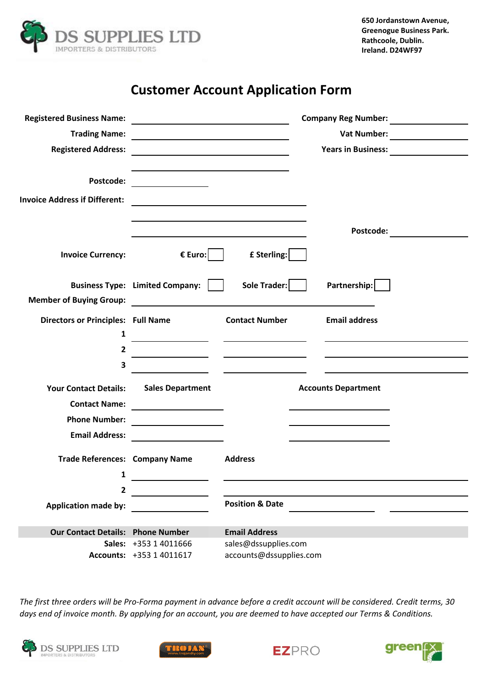

# **Customer Account Application Form**

| <b>Registered Business Name:</b>          | <u> 1989 - Johann Barnett, fransk politik (d. 1989)</u> |                                                                                           |  |                            | <b>Company Reg Number:</b> Sample of the Second Second Second Second Second Second Second Second Second Second Second Second Second Second Second Second Second Second Second Second Second Second Second Second Second Second Seco |
|-------------------------------------------|---------------------------------------------------------|-------------------------------------------------------------------------------------------|--|----------------------------|-------------------------------------------------------------------------------------------------------------------------------------------------------------------------------------------------------------------------------------|
| <b>Trading Name:</b>                      |                                                         |                                                                                           |  |                            |                                                                                                                                                                                                                                     |
| <b>Registered Address:</b>                |                                                         |                                                                                           |  |                            |                                                                                                                                                                                                                                     |
|                                           |                                                         |                                                                                           |  |                            |                                                                                                                                                                                                                                     |
| Postcode:                                 |                                                         |                                                                                           |  |                            |                                                                                                                                                                                                                                     |
| <b>Invoice Address if Different:</b>      |                                                         | the control of the control of the control of the control of the control of the control of |  |                            |                                                                                                                                                                                                                                     |
|                                           |                                                         |                                                                                           |  |                            |                                                                                                                                                                                                                                     |
|                                           |                                                         |                                                                                           |  | Postcode:                  |                                                                                                                                                                                                                                     |
| <b>Invoice Currency:</b>                  | € Euro:                                                 | £ Sterling:                                                                               |  |                            |                                                                                                                                                                                                                                     |
|                                           | Business Type: Limited Company:                         | Sole Trader:                                                                              |  | Partnership:               |                                                                                                                                                                                                                                     |
| <b>Member of Buying Group:</b>            |                                                         |                                                                                           |  |                            |                                                                                                                                                                                                                                     |
| <b>Directors or Principles: Full Name</b> |                                                         | <b>Contact Number</b>                                                                     |  | <b>Email address</b>       |                                                                                                                                                                                                                                     |
| 1                                         |                                                         |                                                                                           |  |                            |                                                                                                                                                                                                                                     |
| $\overline{2}$                            |                                                         |                                                                                           |  |                            |                                                                                                                                                                                                                                     |
| 3                                         |                                                         |                                                                                           |  |                            |                                                                                                                                                                                                                                     |
|                                           |                                                         |                                                                                           |  |                            |                                                                                                                                                                                                                                     |
| <b>Your Contact Details:</b>              | <b>Sales Department</b>                                 |                                                                                           |  | <b>Accounts Department</b> |                                                                                                                                                                                                                                     |
| <b>Contact Name:</b>                      |                                                         |                                                                                           |  |                            |                                                                                                                                                                                                                                     |
| <b>Phone Number:</b>                      |                                                         |                                                                                           |  |                            |                                                                                                                                                                                                                                     |
| <b>Email Address:</b>                     |                                                         |                                                                                           |  |                            |                                                                                                                                                                                                                                     |
| <b>Trade References: Company Name</b>     |                                                         | <b>Address</b>                                                                            |  |                            |                                                                                                                                                                                                                                     |
| 1                                         |                                                         |                                                                                           |  |                            |                                                                                                                                                                                                                                     |
| 2                                         |                                                         |                                                                                           |  |                            |                                                                                                                                                                                                                                     |
| <b>Application made by:</b>               |                                                         | <b>Position &amp; Date</b>                                                                |  |                            |                                                                                                                                                                                                                                     |
|                                           |                                                         |                                                                                           |  |                            |                                                                                                                                                                                                                                     |
| <b>Our Contact Details: Phone Number</b>  |                                                         | <b>Email Address</b>                                                                      |  |                            |                                                                                                                                                                                                                                     |
|                                           | Sales: +353 1 4011666                                   | sales@dssupplies.com                                                                      |  |                            |                                                                                                                                                                                                                                     |
|                                           | Accounts: +353 1 4011617                                | accounts@dssupplies.com                                                                   |  |                            |                                                                                                                                                                                                                                     |

*The first three orders will be Pro-Forma payment in advance before a credit account will be considered. Credit terms, 30 days end of invoice month. By applying for an account, you are deemed to have accepted our Terms & Conditions.*